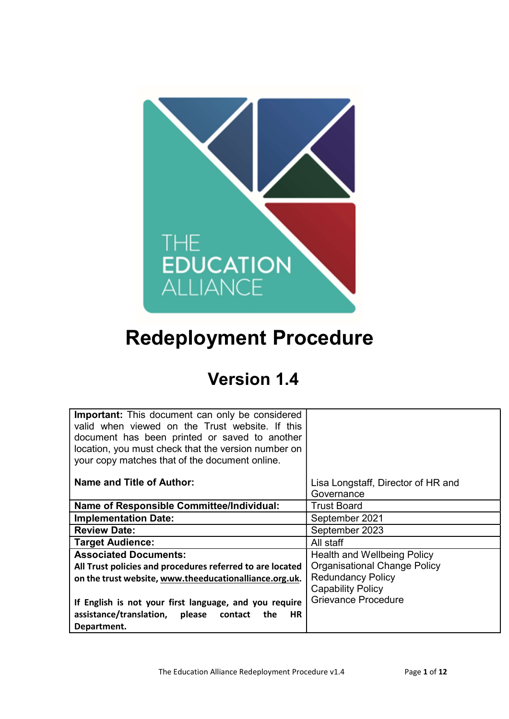

# Redeployment Procedure

# Version 1.4

| <b>Important:</b> This document can only be considered<br>valid when viewed on the Trust website. If this<br>document has been printed or saved to another<br>location, you must check that the version number on<br>your copy matches that of the document online. |                                                  |
|---------------------------------------------------------------------------------------------------------------------------------------------------------------------------------------------------------------------------------------------------------------------|--------------------------------------------------|
|                                                                                                                                                                                                                                                                     |                                                  |
| <b>Name and Title of Author:</b>                                                                                                                                                                                                                                    | Lisa Longstaff, Director of HR and<br>Governance |
| <b>Name of Responsible Committee/Individual:</b>                                                                                                                                                                                                                    | <b>Trust Board</b>                               |
| <b>Implementation Date:</b>                                                                                                                                                                                                                                         | September 2021                                   |
| <b>Review Date:</b>                                                                                                                                                                                                                                                 | September 2023                                   |
| <b>Target Audience:</b>                                                                                                                                                                                                                                             | All staff                                        |
| <b>Associated Documents:</b>                                                                                                                                                                                                                                        | Health and Wellbeing Policy                      |
| All Trust policies and procedures referred to are located                                                                                                                                                                                                           | <b>Organisational Change Policy</b>              |
| on the trust website, www.theeducationalliance.org.uk.                                                                                                                                                                                                              | <b>Redundancy Policy</b>                         |
|                                                                                                                                                                                                                                                                     | <b>Capability Policy</b>                         |
| If English is not your first language, and you require                                                                                                                                                                                                              | <b>Grievance Procedure</b>                       |
| assistance/translation, please<br>contact the<br>HR.                                                                                                                                                                                                                |                                                  |
| Department.                                                                                                                                                                                                                                                         |                                                  |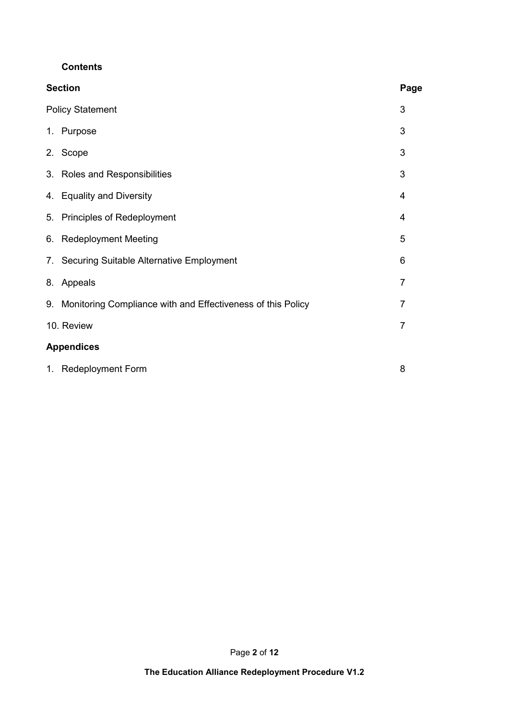#### **Contents**

| <b>Section</b>                                                    | Page |
|-------------------------------------------------------------------|------|
| <b>Policy Statement</b>                                           | 3    |
| Purpose<br>1.                                                     | 3    |
| 2. Scope                                                          | 3    |
| 3. Roles and Responsibilities                                     | 3    |
| <b>Equality and Diversity</b><br>4.                               | 4    |
| 5.<br>Principles of Redeployment                                  | 4    |
| <b>Redeployment Meeting</b><br>6.                                 | 5    |
| 7. Securing Suitable Alternative Employment                       | 6    |
| 8. Appeals                                                        | 7    |
| Monitoring Compliance with and Effectiveness of this Policy<br>9. | 7    |
| 10. Review                                                        | 7    |
| <b>Appendices</b>                                                 |      |
| 1. Redeployment Form                                              | 8    |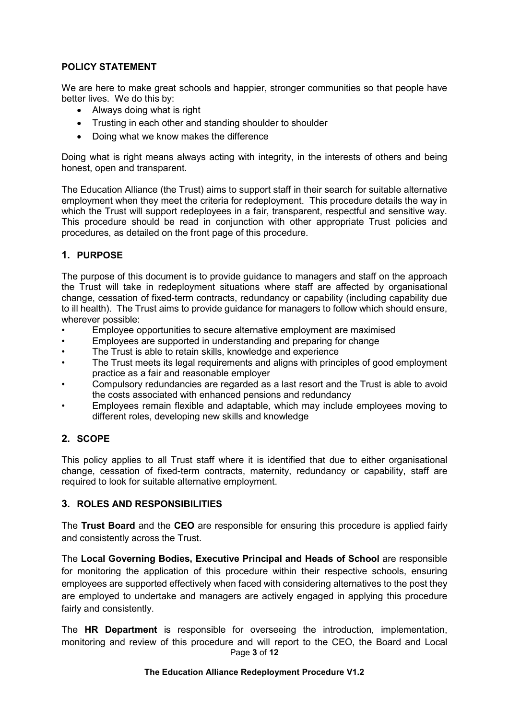#### POLICY STATEMENT

We are here to make great schools and happier, stronger communities so that people have better lives. We do this by:

- Always doing what is right
- Trusting in each other and standing shoulder to shoulder
- Doing what we know makes the difference

Doing what is right means always acting with integrity, in the interests of others and being honest, open and transparent.

The Education Alliance (the Trust) aims to support staff in their search for suitable alternative employment when they meet the criteria for redeployment. This procedure details the way in which the Trust will support redeployees in a fair, transparent, respectful and sensitive way. This procedure should be read in conjunction with other appropriate Trust policies and procedures, as detailed on the front page of this procedure.

## 1. PURPOSE

The purpose of this document is to provide guidance to managers and staff on the approach the Trust will take in redeployment situations where staff are affected by organisational change, cessation of fixed-term contracts, redundancy or capability (including capability due to ill health). The Trust aims to provide guidance for managers to follow which should ensure, wherever possible:

- Employee opportunities to secure alternative employment are maximised
- Employees are supported in understanding and preparing for change
- The Trust is able to retain skills, knowledge and experience
- The Trust meets its legal requirements and aligns with principles of good employment practice as a fair and reasonable employer
- Compulsory redundancies are regarded as a last resort and the Trust is able to avoid the costs associated with enhanced pensions and redundancy
- Employees remain flexible and adaptable, which may include employees moving to different roles, developing new skills and knowledge

## 2. SCOPE

This policy applies to all Trust staff where it is identified that due to either organisational change, cessation of fixed-term contracts, maternity, redundancy or capability, staff are required to look for suitable alternative employment.

## 3. ROLES AND RESPONSIBILITIES

The Trust Board and the CEO are responsible for ensuring this procedure is applied fairly and consistently across the Trust.

The Local Governing Bodies, Executive Principal and Heads of School are responsible for monitoring the application of this procedure within their respective schools, ensuring employees are supported effectively when faced with considering alternatives to the post they are employed to undertake and managers are actively engaged in applying this procedure fairly and consistently.

Page 3 of 12 The **HR Department** is responsible for overseeing the introduction, implementation, monitoring and review of this procedure and will report to the CEO, the Board and Local

#### The Education Alliance Redeployment Procedure V1.2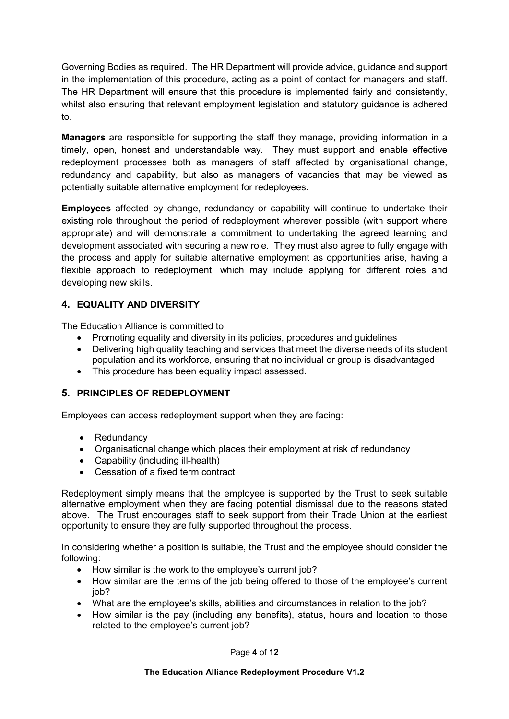Governing Bodies as required. The HR Department will provide advice, guidance and support in the implementation of this procedure, acting as a point of contact for managers and staff. The HR Department will ensure that this procedure is implemented fairly and consistently, whilst also ensuring that relevant employment legislation and statutory guidance is adhered to.

Managers are responsible for supporting the staff they manage, providing information in a timely, open, honest and understandable way. They must support and enable effective redeployment processes both as managers of staff affected by organisational change, redundancy and capability, but also as managers of vacancies that may be viewed as potentially suitable alternative employment for redeployees.

Employees affected by change, redundancy or capability will continue to undertake their existing role throughout the period of redeployment wherever possible (with support where appropriate) and will demonstrate a commitment to undertaking the agreed learning and development associated with securing a new role. They must also agree to fully engage with the process and apply for suitable alternative employment as opportunities arise, having a flexible approach to redeployment, which may include applying for different roles and developing new skills.

# 4. EQUALITY AND DIVERSITY

The Education Alliance is committed to:

- Promoting equality and diversity in its policies, procedures and quidelines
- Delivering high quality teaching and services that meet the diverse needs of its student population and its workforce, ensuring that no individual or group is disadvantaged
- This procedure has been equality impact assessed.

## 5. PRINCIPLES OF REDEPLOYMENT

Employees can access redeployment support when they are facing:

- Redundancy
- Organisational change which places their employment at risk of redundancy
- Capability (including ill-health)
- Cessation of a fixed term contract

Redeployment simply means that the employee is supported by the Trust to seek suitable alternative employment when they are facing potential dismissal due to the reasons stated above. The Trust encourages staff to seek support from their Trade Union at the earliest opportunity to ensure they are fully supported throughout the process.

In considering whether a position is suitable, the Trust and the employee should consider the following:

- How similar is the work to the employee's current job?
- How similar are the terms of the job being offered to those of the employee's current job?
- What are the employee's skills, abilities and circumstances in relation to the job?
- How similar is the pay (including any benefits), status, hours and location to those related to the employee's current job?

Page 4 of 12

The Education Alliance Redeployment Procedure V1.2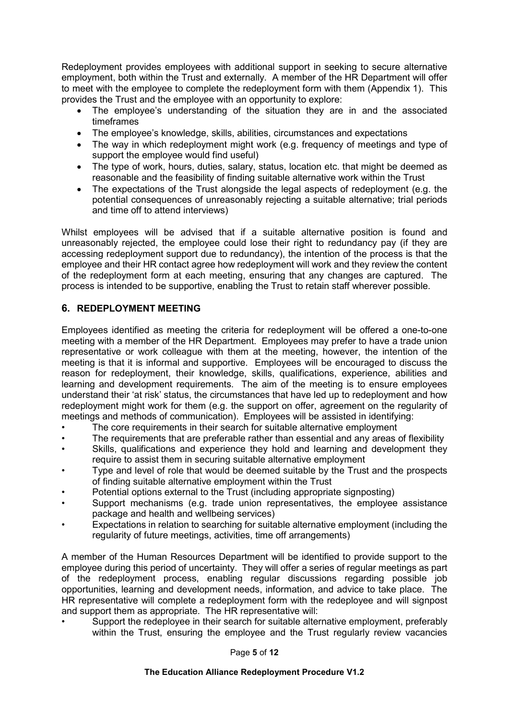Redeployment provides employees with additional support in seeking to secure alternative employment, both within the Trust and externally. A member of the HR Department will offer to meet with the employee to complete the redeployment form with them (Appendix 1). This provides the Trust and the employee with an opportunity to explore:

- The employee's understanding of the situation they are in and the associated timeframes
- The employee's knowledge, skills, abilities, circumstances and expectations
- The way in which redeployment might work (e.g. frequency of meetings and type of support the employee would find useful)
- The type of work, hours, duties, salary, status, location etc. that might be deemed as reasonable and the feasibility of finding suitable alternative work within the Trust
- The expectations of the Trust alongside the legal aspects of redeployment (e.g. the potential consequences of unreasonably rejecting a suitable alternative; trial periods and time off to attend interviews)

Whilst employees will be advised that if a suitable alternative position is found and unreasonably rejected, the employee could lose their right to redundancy pay (if they are accessing redeployment support due to redundancy), the intention of the process is that the employee and their HR contact agree how redeployment will work and they review the content of the redeployment form at each meeting, ensuring that any changes are captured. The process is intended to be supportive, enabling the Trust to retain staff wherever possible.

# 6. REDEPLOYMENT MEETING

Employees identified as meeting the criteria for redeployment will be offered a one-to-one meeting with a member of the HR Department. Employees may prefer to have a trade union representative or work colleague with them at the meeting, however, the intention of the meeting is that it is informal and supportive. Employees will be encouraged to discuss the reason for redeployment, their knowledge, skills, qualifications, experience, abilities and learning and development requirements. The aim of the meeting is to ensure employees understand their 'at risk' status, the circumstances that have led up to redeployment and how redeployment might work for them (e.g. the support on offer, agreement on the regularity of meetings and methods of communication). Employees will be assisted in identifying:

- The core requirements in their search for suitable alternative employment
- The requirements that are preferable rather than essential and any areas of flexibility
- Skills, qualifications and experience they hold and learning and development they require to assist them in securing suitable alternative employment
- Type and level of role that would be deemed suitable by the Trust and the prospects of finding suitable alternative employment within the Trust
- Potential options external to the Trust (including appropriate signposting)
- Support mechanisms (e.g. trade union representatives, the employee assistance package and health and wellbeing services)
- Expectations in relation to searching for suitable alternative employment (including the regularity of future meetings, activities, time off arrangements)

A member of the Human Resources Department will be identified to provide support to the employee during this period of uncertainty. They will offer a series of regular meetings as part of the redeployment process, enabling regular discussions regarding possible job opportunities, learning and development needs, information, and advice to take place. The HR representative will complete a redeployment form with the redeployee and will signpost and support them as appropriate. The HR representative will:

• Support the redeployee in their search for suitable alternative employment, preferably within the Trust, ensuring the employee and the Trust regularly review vacancies

Page 5 of 12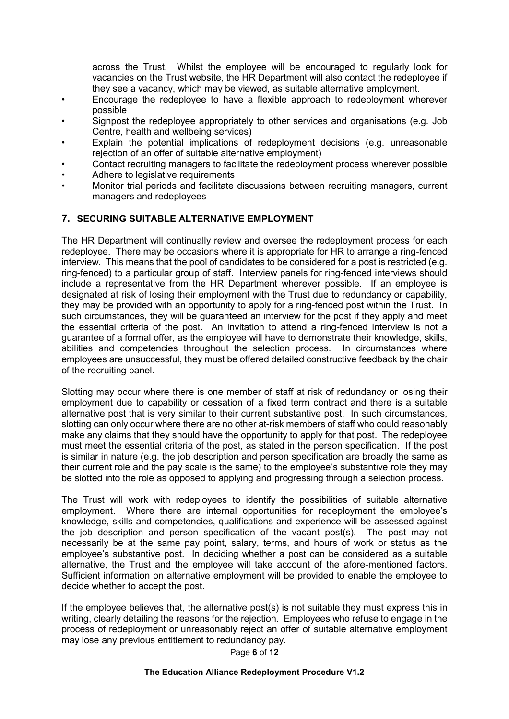across the Trust. Whilst the employee will be encouraged to regularly look for vacancies on the Trust website, the HR Department will also contact the redeployee if they see a vacancy, which may be viewed, as suitable alternative employment.

- Encourage the redeployee to have a flexible approach to redeployment wherever possible
- Signpost the redeployee appropriately to other services and organisations (e.g. Job Centre, health and wellbeing services)
- Explain the potential implications of redeployment decisions (e.g. unreasonable rejection of an offer of suitable alternative employment)
- Contact recruiting managers to facilitate the redeployment process wherever possible
- Adhere to legislative requirements
- Monitor trial periods and facilitate discussions between recruiting managers, current managers and redeployees

#### 7. SECURING SUITABLE ALTERNATIVE EMPLOYMENT

The HR Department will continually review and oversee the redeployment process for each redeployee. There may be occasions where it is appropriate for HR to arrange a ring-fenced interview. This means that the pool of candidates to be considered for a post is restricted (e.g. ring-fenced) to a particular group of staff. Interview panels for ring-fenced interviews should include a representative from the HR Department wherever possible. If an employee is designated at risk of losing their employment with the Trust due to redundancy or capability, they may be provided with an opportunity to apply for a ring-fenced post within the Trust. In such circumstances, they will be guaranteed an interview for the post if they apply and meet the essential criteria of the post. An invitation to attend a ring-fenced interview is not a guarantee of a formal offer, as the employee will have to demonstrate their knowledge, skills, abilities and competencies throughout the selection process. In circumstances where employees are unsuccessful, they must be offered detailed constructive feedback by the chair of the recruiting panel.

Slotting may occur where there is one member of staff at risk of redundancy or losing their employment due to capability or cessation of a fixed term contract and there is a suitable alternative post that is very similar to their current substantive post. In such circumstances, slotting can only occur where there are no other at-risk members of staff who could reasonably make any claims that they should have the opportunity to apply for that post. The redeployee must meet the essential criteria of the post, as stated in the person specification. If the post is similar in nature (e.g. the job description and person specification are broadly the same as their current role and the pay scale is the same) to the employee's substantive role they may be slotted into the role as opposed to applying and progressing through a selection process.

The Trust will work with redeployees to identify the possibilities of suitable alternative employment. Where there are internal opportunities for redeployment the employee's knowledge, skills and competencies, qualifications and experience will be assessed against the job description and person specification of the vacant post(s). The post may not necessarily be at the same pay point, salary, terms, and hours of work or status as the employee's substantive post. In deciding whether a post can be considered as a suitable alternative, the Trust and the employee will take account of the afore-mentioned factors. Sufficient information on alternative employment will be provided to enable the employee to decide whether to accept the post.

If the employee believes that, the alternative post(s) is not suitable they must express this in writing, clearly detailing the reasons for the rejection. Employees who refuse to engage in the process of redeployment or unreasonably reject an offer of suitable alternative employment may lose any previous entitlement to redundancy pay.

Page 6 of 12

#### The Education Alliance Redeployment Procedure V1.2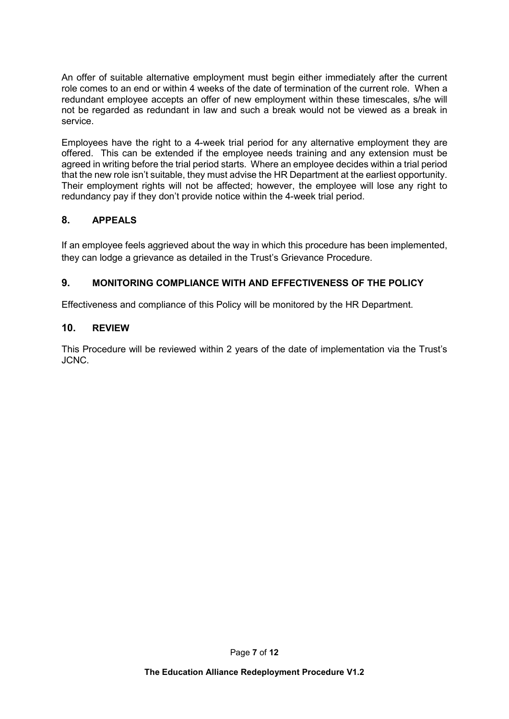An offer of suitable alternative employment must begin either immediately after the current role comes to an end or within 4 weeks of the date of termination of the current role. When a redundant employee accepts an offer of new employment within these timescales, s/he will not be regarded as redundant in law and such a break would not be viewed as a break in service.

Employees have the right to a 4-week trial period for any alternative employment they are offered. This can be extended if the employee needs training and any extension must be agreed in writing before the trial period starts. Where an employee decides within a trial period that the new role isn't suitable, they must advise the HR Department at the earliest opportunity. Their employment rights will not be affected; however, the employee will lose any right to redundancy pay if they don't provide notice within the 4-week trial period.

# 8. APPEALS

If an employee feels aggrieved about the way in which this procedure has been implemented, they can lodge a grievance as detailed in the Trust's Grievance Procedure.

# 9. MONITORING COMPLIANCE WITH AND EFFECTIVENESS OF THE POLICY

Effectiveness and compliance of this Policy will be monitored by the HR Department.

## 10. REVIEW

This Procedure will be reviewed within 2 years of the date of implementation via the Trust's JCNC.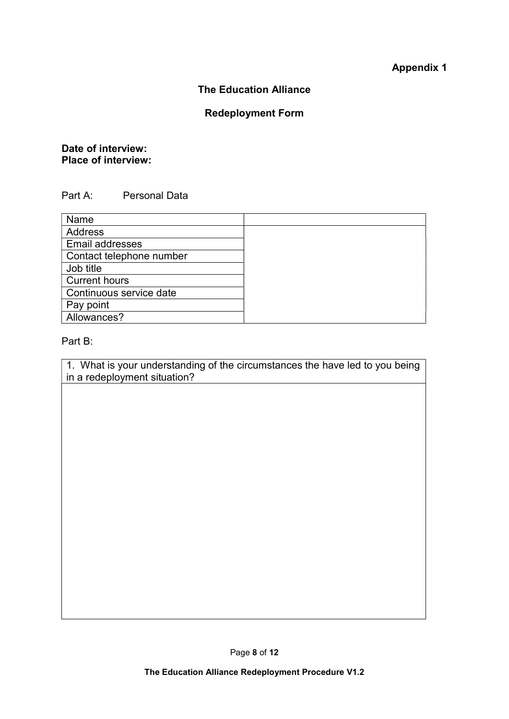# Appendix 1

#### The Education Alliance

# Redeployment Form

# Date of interview: Place of interview:

# Part A: Personal Data

| Name                     |  |
|--------------------------|--|
| <b>Address</b>           |  |
| <b>Email addresses</b>   |  |
| Contact telephone number |  |
| Job title                |  |
| <b>Current hours</b>     |  |
| Continuous service date  |  |
| Pay point                |  |
| Allowances?              |  |

#### Part B:

1. What is your understanding of the circumstances the have led to you being in a redeployment situation?

Page 8 of 12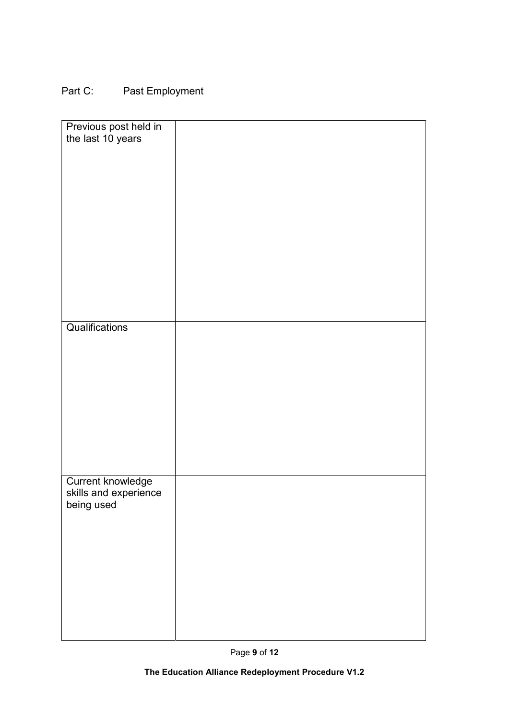# Part C: Past Employment

| Previous post held in    |  |
|--------------------------|--|
| the last 10 years        |  |
|                          |  |
|                          |  |
|                          |  |
|                          |  |
|                          |  |
|                          |  |
|                          |  |
|                          |  |
|                          |  |
|                          |  |
|                          |  |
|                          |  |
|                          |  |
|                          |  |
|                          |  |
|                          |  |
|                          |  |
|                          |  |
|                          |  |
|                          |  |
|                          |  |
|                          |  |
| Qualifications           |  |
|                          |  |
|                          |  |
|                          |  |
|                          |  |
|                          |  |
|                          |  |
|                          |  |
|                          |  |
|                          |  |
|                          |  |
|                          |  |
|                          |  |
|                          |  |
|                          |  |
|                          |  |
|                          |  |
|                          |  |
| <b>Current knowledge</b> |  |
|                          |  |
| skills and experience    |  |
| being used               |  |
|                          |  |
|                          |  |
|                          |  |
|                          |  |
|                          |  |
|                          |  |
|                          |  |
|                          |  |
|                          |  |
|                          |  |
|                          |  |
|                          |  |
|                          |  |
|                          |  |
|                          |  |
|                          |  |
|                          |  |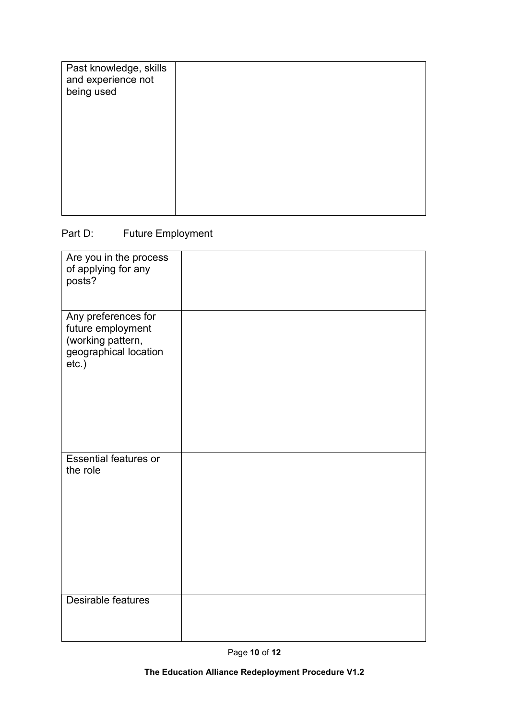| Past knowledge, skills<br>and experience not<br>being used |  |
|------------------------------------------------------------|--|
|                                                            |  |

# Part D: Future Employment

| Are you in the process<br>of applying for any<br>posts?                                            |  |
|----------------------------------------------------------------------------------------------------|--|
| Any preferences for<br>future employment<br>(working pattern,<br>geographical location<br>$etc.$ ) |  |
| <b>Essential features or</b><br>the role                                                           |  |
| Desirable features                                                                                 |  |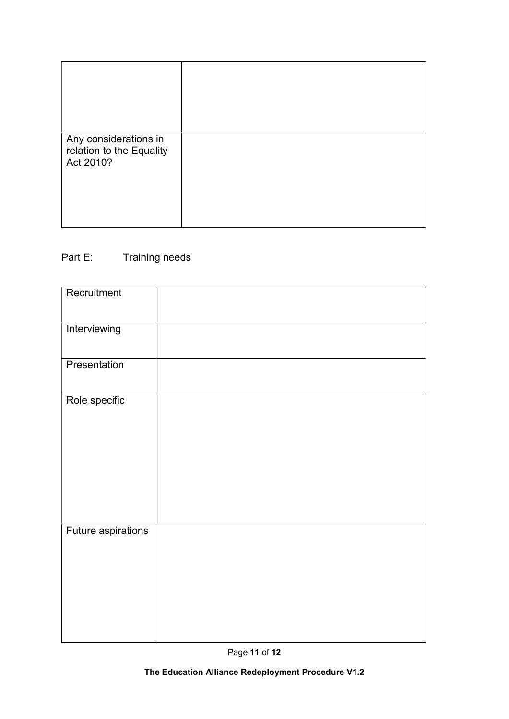| Any considerations in<br>relation to the Equality<br>Act 2010? |  |
|----------------------------------------------------------------|--|

# Part E: Training needs

| Recruitment        |  |
|--------------------|--|
| Interviewing       |  |
| Presentation       |  |
| Role specific      |  |
| Future aspirations |  |